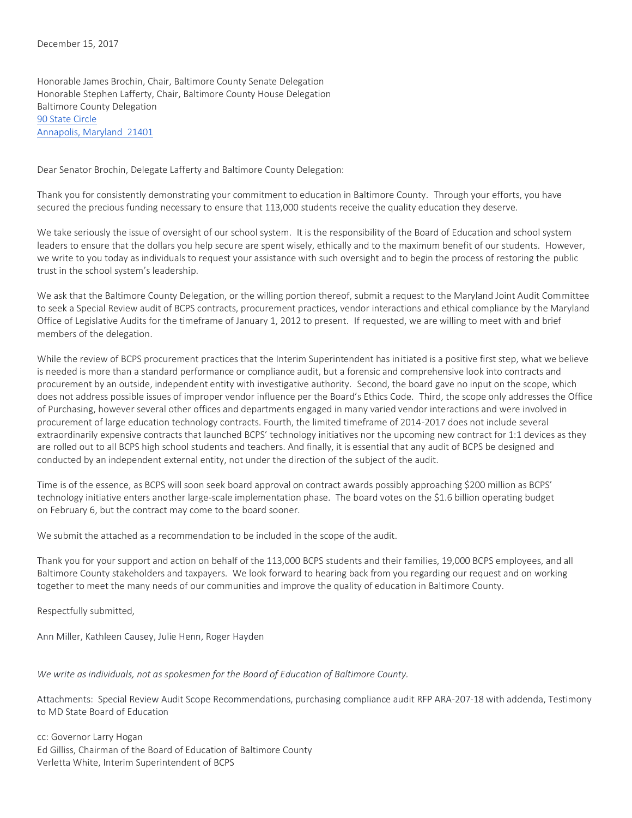Honorable James Brochin, Chair, Baltimore County Senate Delegation Honorable Stephen Lafferty, Chair, Baltimore County House Delegation Baltimore County Delegation [90 State Circle](https://maps.google.com/?q=90+State+Circle%0D+Annapolis,+Maryland%C2%A0+21401&entry=gmail&source=g) [Annapolis, Maryland](https://maps.google.com/?q=90+State+Circle%0D+Annapolis,+Maryland%C2%A0+21401&entry=gmail&source=g) 21401

Dear Senator Brochin, Delegate Lafferty and Baltimore County Delegation:

Thank you for consistently demonstrating your commitment to education in Baltimore County. Through your efforts, you have secured the precious funding necessary to ensure that 113,000 students receive the quality education they deserve.

We take seriously the issue of oversight of our school system. It is the responsibility of the Board of Education and school system leaders to ensure that the dollars you help secure are spent wisely, ethically and to the maximum benefit of our students. However, we write to you today as individuals to request your assistance with such oversight and to begin the process of restoring the public trust in the school system's leadership.

We ask that the Baltimore County Delegation, or the willing portion thereof, submit a request to the Maryland Joint Audit Committee to seek a Special Review audit of BCPS contracts, procurement practices, vendor interactions and ethical compliance by the Maryland Office of Legislative Audits for the timeframe of January 1, 2012 to present. If requested, we are willing to meet with and brief members of the delegation.

While the review of BCPS procurement practices that the Interim Superintendent has initiated is a positive first step, what we believe is needed is more than a standard performance or compliance audit, but a forensic and comprehensive look into contracts and procurement by an outside, independent entity with investigative authority. Second, the board gave no input on the scope, which does not address possible issues of improper vendor influence per the Board's Ethics Code. Third, the scope only addresses the Office of Purchasing, however several other offices and departments engaged in many varied vendor interactions and were involved in procurement of large education technology contracts. Fourth, the limited timeframe of 2014-2017 does not include several extraordinarily expensive contracts that launched BCPS' technology initiatives nor the upcoming new contract for 1:1 devices as they are rolled out to all BCPS high school students and teachers. And finally, it is essential that any audit of BCPS be designed and conducted by an independent external entity, not under the direction of the subject of the audit.

Time is of the essence, as BCPS will soon seek board approval on contract awards possibly approaching \$200 million as BCPS' technology initiative enters another large-scale implementation phase. The board votes on the \$1.6 billion operating budget on February 6, but the contract may come to the board sooner.

We submit the attached as a recommendation to be included in the scope of the audit.

Thank you for your support and action on behalf of the 113,000 BCPS students and their families, 19,000 BCPS employees, and all Baltimore County stakeholders and taxpayers. We look forward to hearing back from you regarding our request and on working together to meet the many needs of our communities and improve the quality of education in Baltimore County.

Respectfully submitted,

Ann Miller, Kathleen Causey, Julie Henn, Roger Hayden

#### *We write as individuals, not as spokesmen for the Board of Education of Baltimore County.*

Attachments: Special Review Audit Scope Recommendations, purchasing compliance audit RFP ARA-207-18 with addenda, Testimony to MD State Board of Education

cc: Governor Larry Hogan Ed Gilliss, Chairman of the Board of Education of Baltimore County Verletta White, Interim Superintendent of BCPS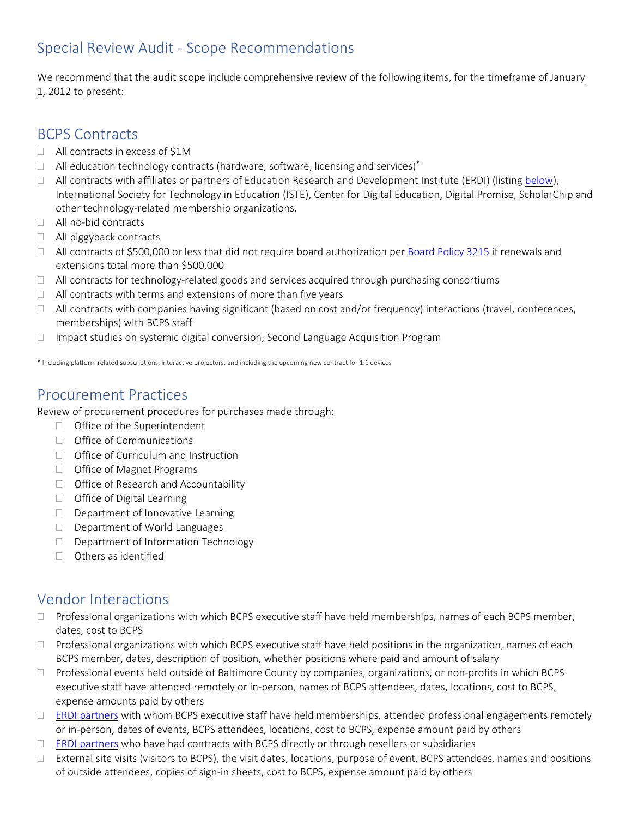### Special Review Audit - Scope Recommendations

We recommend that the audit scope include comprehensive review of the following items, for the timeframe of January 1, 2012 to present:

#### BCPS Contracts

- □ All contracts in excess of \$1M
- $\Box$  All education technology contracts (hardware, software, licensing and services)\*
- $\Box$  All contracts with affiliates or partners of Education Research and Development Institute (ERDI) (listing [below\)](#page-2-0), International Society for Technology in Education (ISTE), Center for Digital Education, Digital Promise, ScholarChip and other technology-related membership organizations.
- □ All no-bid contracts
- □ All piggyback contracts
- $\Box$  All contracts of \$500,000 or less that did not require board authorization per [Board](http://www.bcps.org/system/policies_rules/policies/3000Series/POL3215.pdf) Policy 3215 if renewals and extensions total more than \$500,000
- $\Box$  All contracts for technology-related goods and services acquired through purchasing consortiums
- $\Box$  All contracts with terms and extensions of more than five years
- $\Box$  All contracts with companies having significant (based on cost and/or frequency) interactions (travel, conferences, memberships) with BCPS staff
- $\Box$  Impact studies on systemic digital conversion, Second Language Acquisition Program

\* Including platform related subscriptions, interactive projectors, and including the upcoming new contract for 1:1 devices

### Procurement Practices

Review of procurement procedures for purchases made through:

- $\Box$  Office of the Superintendent
- $\Box$  Office of Communications
- □ Office of Curriculum and Instruction
- □ Office of Magnet Programs
- □ Office of Research and Accountability
- $\Box$  Office of Digital Learning
- $\Box$  Department of Innovative Learning
- D Department of World Languages
- $\Box$  Department of Information Technology
- $\Box$  Others as identified

#### Vendor Interactions

- $\Box$  Professional organizations with which BCPS executive staff have held memberships, names of each BCPS member, dates, cost to BCPS
- $\Box$  Professional organizations with which BCPS executive staff have held positions in the organization, names of each BCPS member, dates, description of position, whether positions where paid and amount of salary
- $\Box$  Professional events held outside of Baltimore County by companies, organizations, or non-profits in which BCPS executive staff have attended remotely or in-person, names of BCPS attendees, dates, locations, cost to BCPS, expense amounts paid by others
- $\Box$  ERDI [partners](http://erdius.org/wp-content/uploads/2017/10/ERDI-Partners.pdf) with whom BCPS executive staff have held memberships, attended professional engagements remotely or in-person, dates of events, BCPS attendees, locations, cost to BCPS, expense amount paid by others
- $\Box$  ERDI [partners](http://erdius.org/wp-content/uploads/2017/10/ERDI-Partners.pdf) who have had contracts with BCPS directly or through resellers or subsidiaries
- $\Box$  External site visits (visitors to BCPS), the visit dates, locations, purpose of event, BCPS attendees, names and positions of outside attendees, copies of sign-in sheets, cost to BCPS, expense amount paid by others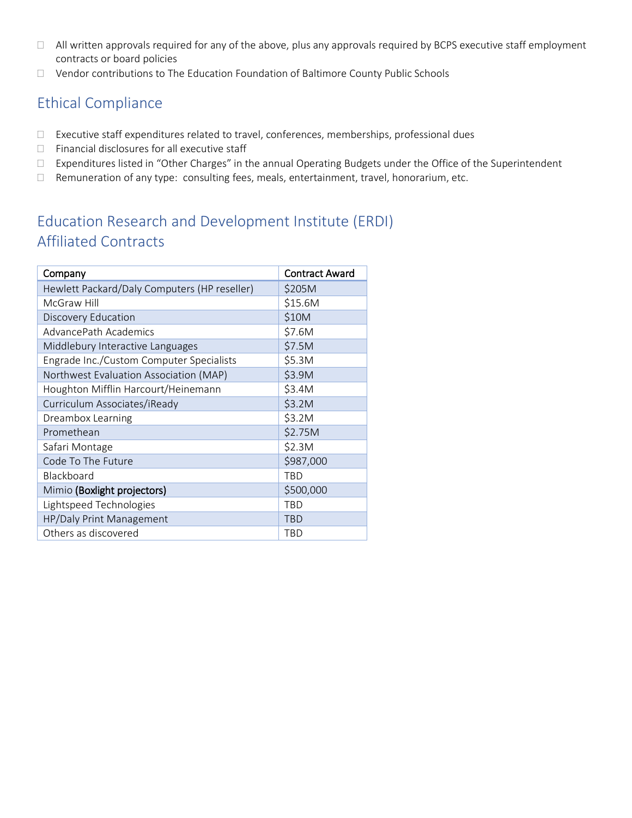- All written approvals required for any of the above, plus any approvals required by BCPS executive staff employment contracts or board policies
- $\Box$  Vendor contributions to The Education Foundation of Baltimore County Public Schools

## Ethical Compliance

- Executive staff expenditures related to travel, conferences, memberships, professional dues
- $\Box$  Financial disclosures for all executive staff
- Expenditures listed in "Other Charges" in the annual Operating Budgets under the Office of the Superintendent
- $\Box$  Remuneration of any type: consulting fees, meals, entertainment, travel, honorarium, etc.

# <span id="page-2-0"></span>Education Research and Development Institute (ERDI) Affiliated Contracts

| Company                                      | <b>Contract Award</b> |
|----------------------------------------------|-----------------------|
| Hewlett Packard/Daly Computers (HP reseller) | \$205M                |
| McGraw Hill                                  | \$15.6M               |
| Discovery Education                          | \$10M                 |
| AdvancePath Academics                        | \$7.6M                |
| Middlebury Interactive Languages             | \$7.5M                |
| Engrade Inc./Custom Computer Specialists     | \$5.3M                |
| Northwest Evaluation Association (MAP)       | \$3.9M                |
| Houghton Mifflin Harcourt/Heinemann          | \$3.4M                |
| Curriculum Associates/iReady                 | \$3.2M                |
| Dreambox Learning                            | \$3.2M                |
| Promethean                                   | \$2.75M               |
| Safari Montage                               | \$2.3M                |
| Code To The Future                           | \$987,000             |
| Blackboard                                   | <b>TBD</b>            |
| Mimio (Boxlight projectors)                  | \$500,000             |
| Lightspeed Technologies                      | <b>TBD</b>            |
| HP/Daly Print Management                     | <b>TBD</b>            |
| Others as discovered                         | <b>TBD</b>            |